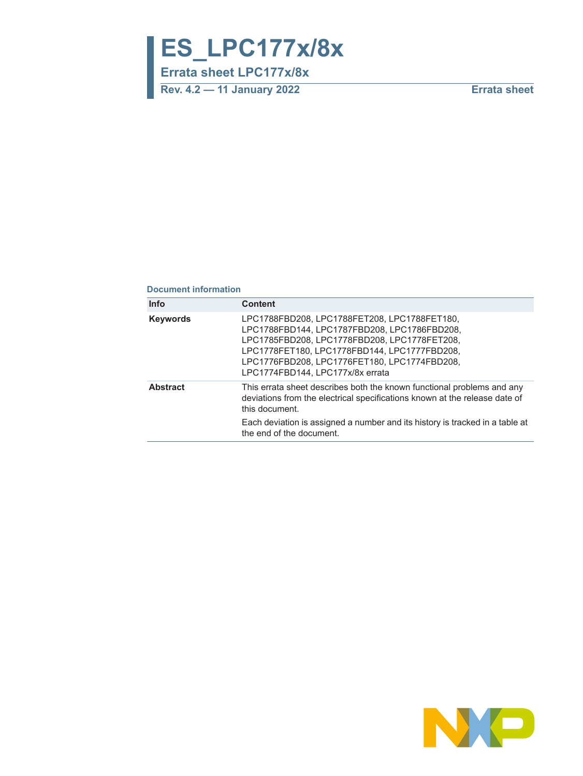# **ES\_LPC177x/8x**

**Errata sheet LPC177x/8x**

**Rev. 4.2 — 11 January 2022 Errata sheet**

#### **Document information**

| <b>Info</b>     | <b>Content</b>                                                                                                                                                                                                                                                                     |
|-----------------|------------------------------------------------------------------------------------------------------------------------------------------------------------------------------------------------------------------------------------------------------------------------------------|
| <b>Keywords</b> | LPC1788FBD208, LPC1788FET208, LPC1788FET180,<br>LPC1788FBD144, LPC1787FBD208, LPC1786FBD208,<br>LPC1785FBD208, LPC1778FBD208, LPC1778FET208,<br>LPC1778FET180, LPC1778FBD144, LPC1777FBD208,<br>LPC1776FBD208, LPC1776FET180, LPC1774FBD208,<br>LPC1774FBD144, LPC177x/8x errata   |
| <b>Abstract</b> | This errata sheet describes both the known functional problems and any<br>deviations from the electrical specifications known at the release date of<br>this document.<br>Each deviation is assigned a number and its history is tracked in a table at<br>the end of the document. |

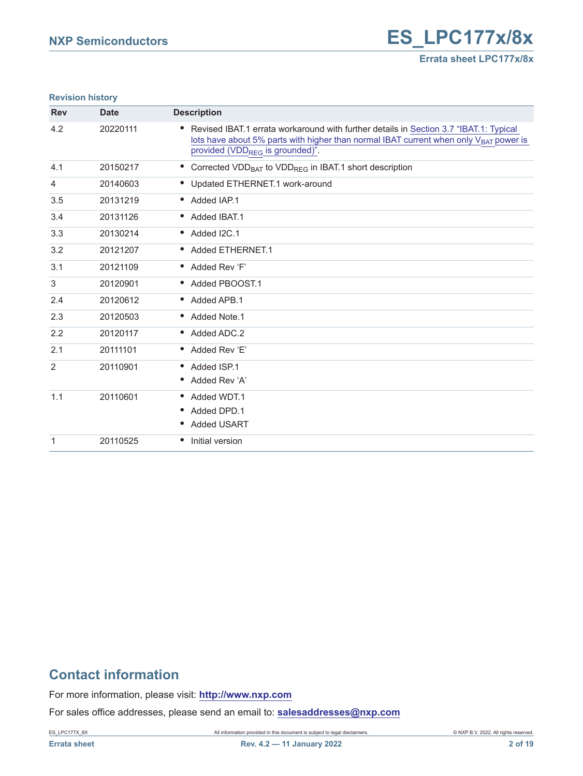#### **Revision history**

| <b>Rev</b> | <b>Date</b> | <b>Description</b>                                                                                                                                                                                                                             |
|------------|-------------|------------------------------------------------------------------------------------------------------------------------------------------------------------------------------------------------------------------------------------------------|
| 4.2        | 20220111    | Revised IBAT.1 errata workaround with further details in Section 3.7 "IBAT.1: Typical<br>٠<br>lots have about 5% parts with higher than normal IBAT current when only V <sub>BAT</sub> power is<br>provided (VDD <sub>REG</sub> is grounded)". |
| 4.1        | 20150217    | Corrected VDD <sub>BAT</sub> to VDD <sub>REG</sub> in IBAT.1 short description<br>٠                                                                                                                                                            |
| 4          | 20140603    | Updated ETHERNET.1 work-around<br>٠                                                                                                                                                                                                            |
| 3.5        | 20131219    | • Added IAP.1                                                                                                                                                                                                                                  |
| 3.4        | 20131126    | • Added IBAT.1                                                                                                                                                                                                                                 |
| 3.3        | 20130214    | • Added I2C.1                                                                                                                                                                                                                                  |
| 3.2        | 20121207    | Added ETHERNET.1<br>٠                                                                                                                                                                                                                          |
| 3.1        | 20121109    | • Added Rev 'F'                                                                                                                                                                                                                                |
| 3          | 20120901    | Added PBOOST.1<br>٠                                                                                                                                                                                                                            |
| 2.4        | 20120612    | Added APB.1<br>$\bullet$                                                                                                                                                                                                                       |
| 2.3        | 20120503    | • Added Note.1                                                                                                                                                                                                                                 |
| 2.2        | 20120117    | • Added ADC.2                                                                                                                                                                                                                                  |
| 2.1        | 20111101    | • Added Rev 'E'                                                                                                                                                                                                                                |
| 2          | 20110901    | Added ISP.1<br>٠                                                                                                                                                                                                                               |
|            |             | Added Rev 'A'<br>٠                                                                                                                                                                                                                             |
| 1.1        | 20110601    | Added WDT.1<br>٠                                                                                                                                                                                                                               |
|            |             | Added DPD.1<br>٠                                                                                                                                                                                                                               |
|            |             | <b>Added USART</b>                                                                                                                                                                                                                             |
| 1          | 20110525    | Initial version<br>٠                                                                                                                                                                                                                           |

# **Contact information**

For more information, please visit: **http://www.nxp.com**

For sales office addresses, please send an email to: **salesaddresses@nxp.com**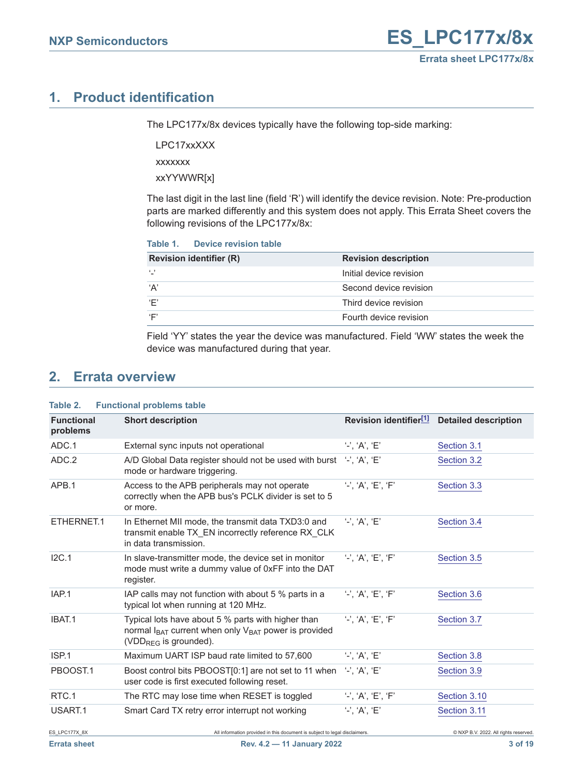### **1. Product identification**

The LPC177x/8x devices typically have the following top-side marking:

LPC17xxXXX xxxxxxx xxYYWWR[x]

The last digit in the last line (field 'R') will identify the device revision. Note: Pre-production parts are marked differently and this system does not apply. This Errata Sheet covers the following revisions of the LPC177x/8x:

| <b>Revision identifier (R)</b> | <b>Revision description</b> |
|--------------------------------|-----------------------------|
| $\sim$                         | Initial device revision     |
| 'А'                            | Second device revision      |
| 'F'                            | Third device revision       |
| 'F'                            | Fourth device revision      |
|                                |                             |

Field 'YY' states the year the device was manufactured. Field 'WW' states the week the device was manufactured during that year.

### <span id="page-2-0"></span>**2. Errata overview**

| <b>Functional</b> |                                                                                                                                                           | Revision identifier[1] |                                       |
|-------------------|-----------------------------------------------------------------------------------------------------------------------------------------------------------|------------------------|---------------------------------------|
| problems          | <b>Short description</b>                                                                                                                                  |                        | <b>Detailed description</b>           |
| ADC.1             | External sync inputs not operational                                                                                                                      | $'$ -', 'A', 'E'       | Section 3.1                           |
| ADC.2             | A/D Global Data register should not be used with burst '-', 'A', 'E'<br>mode or hardware triggering.                                                      |                        | Section 3.2                           |
| APB.1             | Access to the APB peripherals may not operate<br>correctly when the APB bus's PCLK divider is set to 5<br>or more.                                        | $'$ -', 'A', 'E', 'F'  | Section 3.3                           |
| ETHERNET.1        | In Ethernet MII mode, the transmit data TXD3:0 and<br>transmit enable TX EN incorrectly reference RX CLK<br>in data transmission.                         | $'$ -', 'A', 'E'       | Section 3.4                           |
| I2C.1             | In slave-transmitter mode, the device set in monitor<br>mode must write a dummy value of 0xFF into the DAT<br>register.                                   | $'$ -', 'A', 'E', 'F'  | Section 3.5                           |
| IAP.1             | IAP calls may not function with about 5 % parts in a<br>typical lot when running at 120 MHz.                                                              | $'$ -', 'A', 'E', 'F'  | Section 3.6                           |
| IBAT.1            | Typical lots have about 5 % parts with higher than<br>normal $I_{BAT}$ current when only $V_{BAT}$ power is provided<br>(VDD <sub>RFG</sub> is grounded). | $'$ , 'A', 'E', 'F'    | Section 3.7                           |
| ISP.1             | Maximum UART ISP baud rate limited to 57,600                                                                                                              | $'$ -', 'A', 'E'       | Section 3.8                           |
| PBOOST.1          | Boost control bits PBOOST[0:1] are not set to 11 when<br>user code is first executed following reset.                                                     | '-', 'A', 'E'          | Section 3.9                           |
| RTC.1             | The RTC may lose time when RESET is toggled                                                                                                               | $'$ -', 'A', 'E', 'F'  | Section 3.10                          |
| USART.1           | Smart Card TX retry error interrupt not working                                                                                                           | $'$ -', 'A', 'E'       | Section 3.11                          |
| ES_LPC177X_8X     | All information provided in this document is subject to legal disclaimers.                                                                                |                        | C NXP B.V. 2022. All rights reserved. |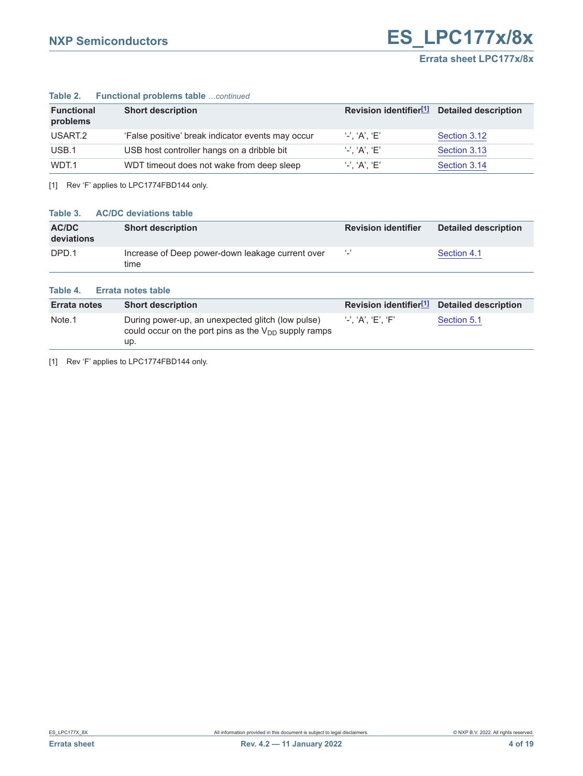#### **Table 2. Functional problems table** *…continued*

| <b>Functional</b><br>problems | <b>Short description</b>                          | Revision identifier <sup>[1]</sup> Detailed description |              |
|-------------------------------|---------------------------------------------------|---------------------------------------------------------|--------------|
| USART <sub>.2</sub>           | 'False positive' break indicator events may occur | '-'. 'A'. 'E'                                           | Section 3.12 |
| USB.1                         | USB host controller hangs on a dribble bit        | '-'. 'A'. 'E'                                           | Section 3.13 |
| WDT.1                         | WDT timeout does not wake from deep sleep         | '-'. 'A'. 'E'                                           | Section 3.14 |

<span id="page-3-0"></span>[1] Rev 'F' applies to LPC1774FBD144 only.

#### **Table 3. AC/DC deviations table**

| AC/DC<br>deviations | <b>Short description</b>                                 | <b>Revision identifier</b> | Detailed description |
|---------------------|----------------------------------------------------------|----------------------------|----------------------|
| DPD.1               | Increase of Deep power-down leakage current over<br>time | $\cdot$ .                  | Section 4.1          |

### **Table 4. Errata notes table**

| <b>Errata notes</b> | <b>Short description</b>                                                                                              | Revision identifier <sup>[1]</sup> Detailed description |             |
|---------------------|-----------------------------------------------------------------------------------------------------------------------|---------------------------------------------------------|-------------|
| Note.1              | During power-up, an unexpected glitch (low pulse)<br>could occur on the port pins as the $V_{DD}$ supply ramps<br>up. | '-', 'A', 'E', 'F'                                      | Section 5.1 |

<span id="page-3-1"></span>[1] Rev 'F' applies to LPC1774FBD144 only.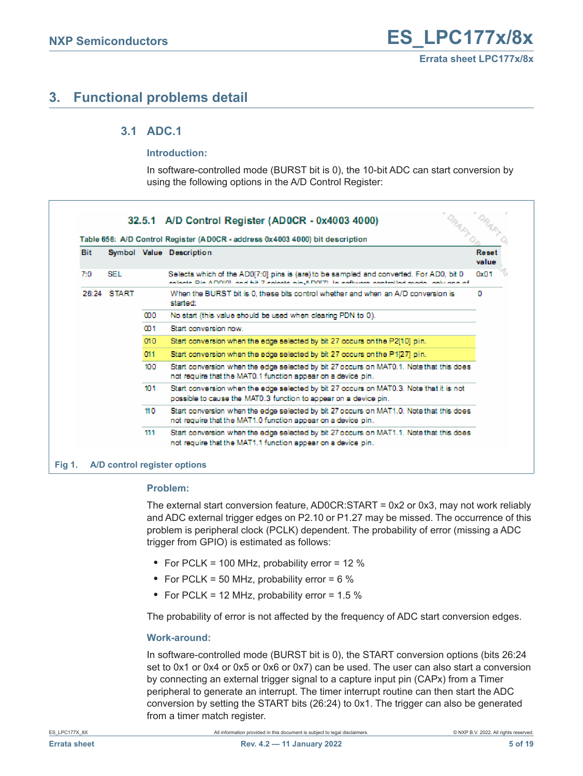# <span id="page-4-1"></span><span id="page-4-0"></span>**3. Functional problems detail**

### **3.1 ADC.1**

#### **Introduction:**

In software-controlled mode (BURST bit is 0), the 10-bit ADC can start conversion by using the following options in the A/D Control Register:

| <b>Bit</b> |             |      | Table 656: A/D Control Register (AD0CR - address 0x4003 4000) bit description<br>Symbol Value Description                                                                         | <b>Reset</b><br>value |
|------------|-------------|------|-----------------------------------------------------------------------------------------------------------------------------------------------------------------------------------|-----------------------|
| 70         | SEL         |      | Selects which of the AD0[7:0] pins is (are) to be sampled and converted. For AD0, bit 0<br>asiate Die AD000, and hit 7 salaste nie AD017). In eaftware santaalistische anternacht | 0x01                  |
|            | 26:24 START |      | When the BURST bit is 0, these bits control whether and when an A/D conversion is<br>started:                                                                                     | ٥                     |
|            |             | നറ   | No start (this value should be used when clearing PDN to 0).                                                                                                                      |                       |
|            |             | CO 1 | Start conversion now.                                                                                                                                                             |                       |
|            |             | 010  | Start conversion when the edge selected by bit 27 occurs on the P2[10] pin.                                                                                                       |                       |
|            |             | 011  | Start conversion when the edge selected by bit 27 occurs on the P1[27] pin.                                                                                                       |                       |
|            |             | 100  | Start conversion when the edge selected by bit 27 occurs on MAT0.1. Note that this does<br>not require that the MAT0.1 function appear on a device pin.                           |                       |
|            |             | 101  | Start conversion when the edge selected by bit 27 occurs on MAT0.3. Note that it is not<br>possible to cause the MAT0.3 function to appear on a device pin.                       |                       |
|            |             | 110  | Start conversion when the edge selected by bit 27 occurs on MAT1.0. Note that this does<br>not require that the MAT1.0 function appear on a device pin.                           |                       |
|            |             | 111  | Start conversion when the edge selected by bit 27 occurs on MAT1.1. Note that this does<br>not require that the MAT1.1 function appear on a device pin.                           |                       |

#### **Problem:**

The external start conversion feature, AD0CR:START = 0x2 or 0x3, may not work reliably and ADC external trigger edges on P2.10 or P1.27 may be missed. The occurrence of this problem is peripheral clock (PCLK) dependent. The probability of error (missing a ADC trigger from GPIO) is estimated as follows:

- **•** For PCLK = 100 MHz, probability error = 12 %
- **•** For PCLK = 50 MHz, probability error = 6 %
- **•** For PCLK = 12 MHz, probability error = 1.5 %

The probability of error is not affected by the frequency of ADC start conversion edges.

#### **Work-around:**

In software-controlled mode (BURST bit is 0), the START conversion options (bits 26:24 set to 0x1 or 0x4 or 0x5 or 0x6 or 0x7) can be used. The user can also start a conversion by connecting an external trigger signal to a capture input pin (CAPx) from a Timer peripheral to generate an interrupt. The timer interrupt routine can then start the ADC conversion by setting the START bits (26:24) to 0x1. The trigger can also be generated from a timer match register.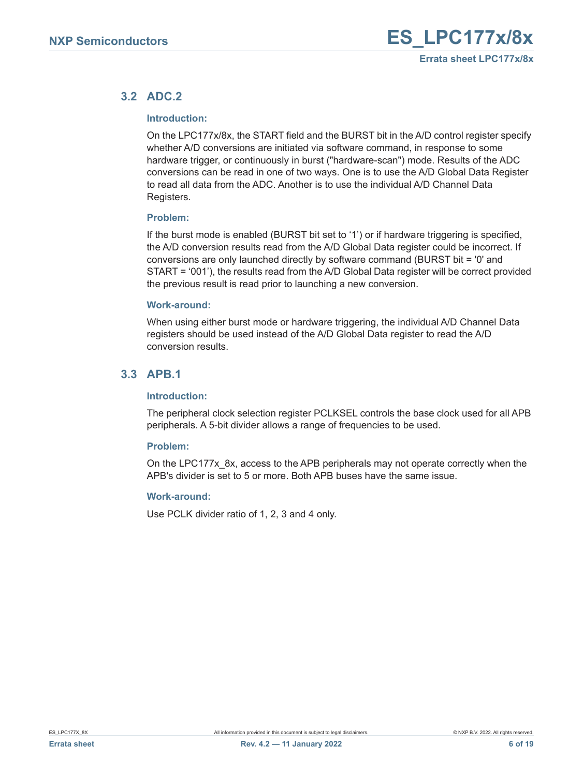### <span id="page-5-0"></span>**3.2 ADC.2**

#### **Introduction:**

On the LPC177x/8x, the START field and the BURST bit in the A/D control register specify whether A/D conversions are initiated via software command, in response to some hardware trigger, or continuously in burst ("hardware-scan") mode. Results of the ADC conversions can be read in one of two ways. One is to use the A/D Global Data Register to read all data from the ADC. Another is to use the individual A/D Channel Data Registers.

#### **Problem:**

If the burst mode is enabled (BURST bit set to '1') or if hardware triggering is specified, the A/D conversion results read from the A/D Global Data register could be incorrect. If conversions are only launched directly by software command (BURST bit = '0' and START = '001'), the results read from the A/D Global Data register will be correct provided the previous result is read prior to launching a new conversion.

#### **Work-around:**

When using either burst mode or hardware triggering, the individual A/D Channel Data registers should be used instead of the A/D Global Data register to read the A/D conversion results.

### <span id="page-5-1"></span>**3.3 APB.1**

#### **Introduction:**

The peripheral clock selection register PCLKSEL controls the base clock used for all APB peripherals. A 5-bit divider allows a range of frequencies to be used.

#### **Problem:**

On the LPC177x\_8x, access to the APB peripherals may not operate correctly when the APB's divider is set to 5 or more. Both APB buses have the same issue.

#### **Work-around:**

Use PCLK divider ratio of 1, 2, 3 and 4 only.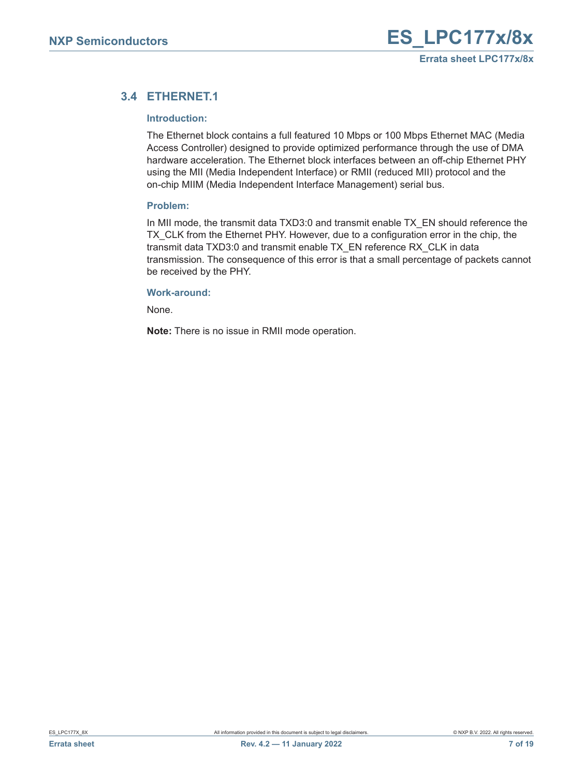### <span id="page-6-0"></span>**3.4 ETHERNET.1**

#### **Introduction:**

The Ethernet block contains a full featured 10 Mbps or 100 Mbps Ethernet MAC (Media Access Controller) designed to provide optimized performance through the use of DMA hardware acceleration. The Ethernet block interfaces between an off-chip Ethernet PHY using the MII (Media Independent Interface) or RMII (reduced MII) protocol and the on-chip MIIM (Media Independent Interface Management) serial bus.

#### **Problem:**

In MII mode, the transmit data TXD3:0 and transmit enable TX\_EN should reference the TX CLK from the Ethernet PHY. However, due to a configuration error in the chip, the transmit data TXD3:0 and transmit enable TX\_EN reference RX\_CLK in data transmission. The consequence of this error is that a small percentage of packets cannot be received by the PHY.

#### **Work-around:**

None.

**Note:** There is no issue in RMII mode operation.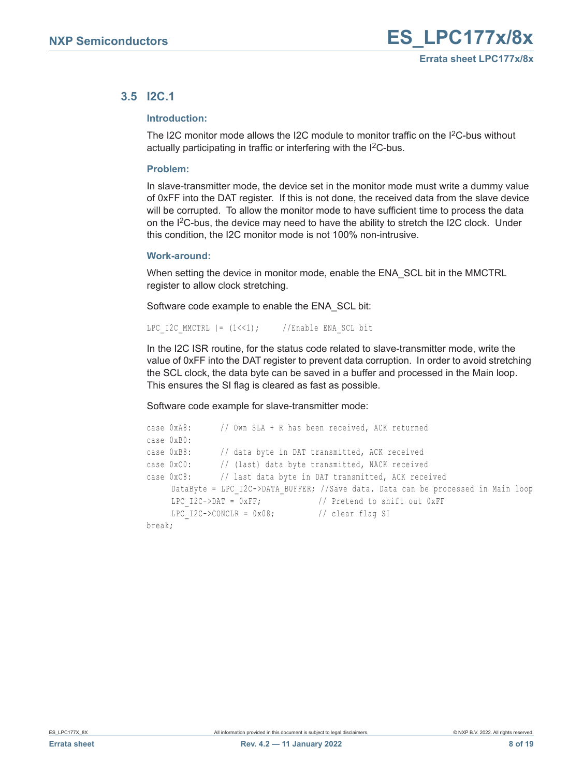### <span id="page-7-0"></span>**3.5 I2C.1**

#### **Introduction:**

The I2C monitor mode allows the I2C module to monitor traffic on the I2C-bus without actually participating in traffic or interfering with the I2C-bus.

#### **Problem:**

In slave-transmitter mode, the device set in the monitor mode must write a dummy value of 0xFF into the DAT register. If this is not done, the received data from the slave device will be corrupted. To allow the monitor mode to have sufficient time to process the data on the I2C-bus, the device may need to have the ability to stretch the I2C clock. Under this condition, the I2C monitor mode is not 100% non-intrusive.

#### **Work-around:**

When setting the device in monitor mode, enable the ENA\_SCL bit in the MMCTRL register to allow clock stretching.

Software code example to enable the ENA\_SCL bit:

LPC I2C MMCTRL  $| = (1 \le 1);$  //Enable ENA SCL bit

In the I2C ISR routine, for the status code related to slave-transmitter mode, write the value of 0xFF into the DAT register to prevent data corruption. In order to avoid stretching the SCL clock, the data byte can be saved in a buffer and processed in the Main loop. This ensures the SI flag is cleared as fast as possible.

Software code example for slave-transmitter mode:

```
case 0xA8: // Own SLA + R has been received, ACK returned
case 0xB0:
case 0xB8: // data byte in DAT transmitted, ACK received
case 0xC0: // (last) data byte transmitted, NACK received
case 0xC8: // last data byte in DAT transmitted, ACK received
    DataByte = LPC I2C->DATA BUFFER; //Save data. Data can be processed in Main loop
    LPC I2C->DAT = 0xFF; // Pretend to shift out 0xFFLPC I2C->CONCLR = 0x08; // clear flag SI
break;
```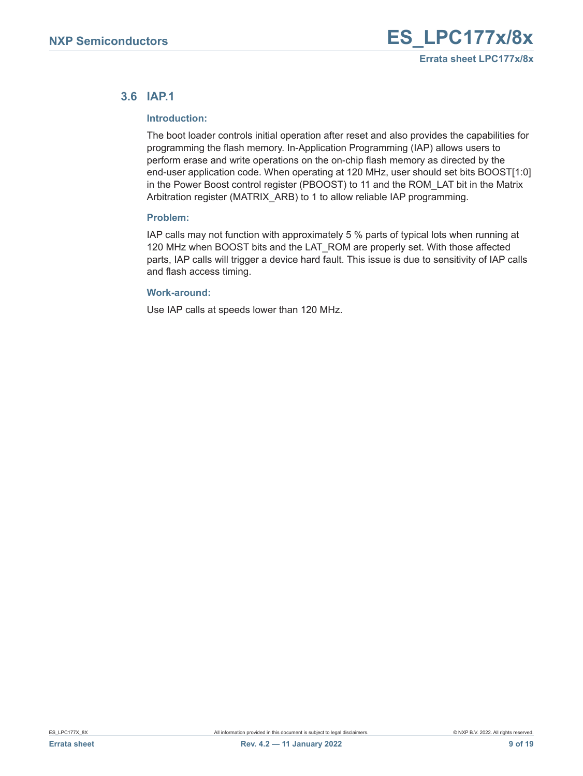### <span id="page-8-0"></span>**3.6 IAP.1**

#### **Introduction:**

The boot loader controls initial operation after reset and also provides the capabilities for programming the flash memory. In-Application Programming (IAP) allows users to perform erase and write operations on the on-chip flash memory as directed by the end-user application code. When operating at 120 MHz, user should set bits BOOST[1:0] in the Power Boost control register (PBOOST) to 11 and the ROM\_LAT bit in the Matrix Arbitration register (MATRIX ARB) to 1 to allow reliable IAP programming.

#### **Problem:**

IAP calls may not function with approximately 5 % parts of typical lots when running at 120 MHz when BOOST bits and the LAT\_ROM are properly set. With those affected parts, IAP calls will trigger a device hard fault. This issue is due to sensitivity of IAP calls and flash access timing.

#### **Work-around:**

Use IAP calls at speeds lower than 120 MHz.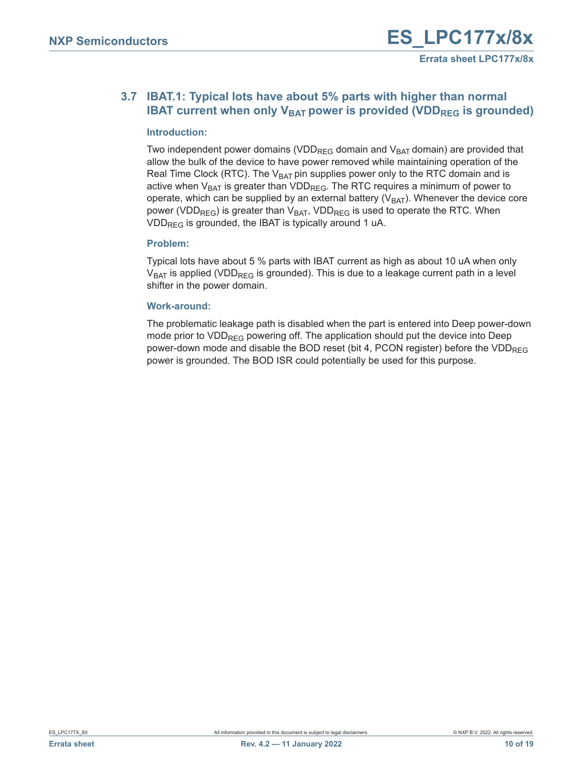### <span id="page-9-0"></span>**3.7 IBAT.1: Typical lots have about 5% parts with higher than normal IBAT current when only V<sub>BAT</sub> power is provided (VDD<sub>RFG</sub> is grounded)**

#### **Introduction:**

Two independent power domains (VDD<sub>RFG</sub> domain and  $V_{BAT}$  domain) are provided that allow the bulk of the device to have power removed while maintaining operation of the Real Time Clock (RTC). The  $V_{BAT}$  pin supplies power only to the RTC domain and is active when  $V_{BAT}$  is greater than  $VDD_{RFG}$ . The RTC requires a minimum of power to operate, which can be supplied by an external battery  $(V_{BAT})$ . Whenever the device core power (VDD<sub>REG</sub>) is greater than  $V_{BAT}$ , VDD<sub>REG</sub> is used to operate the RTC. When VDDREG is grounded, the IBAT is typically around 1 uA.

#### **Problem:**

Typical lots have about 5 % parts with IBAT current as high as about 10 uA when only  $V_{BAT}$  is applied (VDD<sub>RFG</sub> is grounded). This is due to a leakage current path in a level shifter in the power domain.

#### **Work-around:**

The problematic leakage path is disabled when the part is entered into Deep power-down mode prior to  $VDD_{RFG}$  powering off. The application should put the device into Deep power-down mode and disable the BOD reset (bit 4, PCON register) before the VDD<sub>RFG</sub> power is grounded. The BOD ISR could potentially be used for this purpose.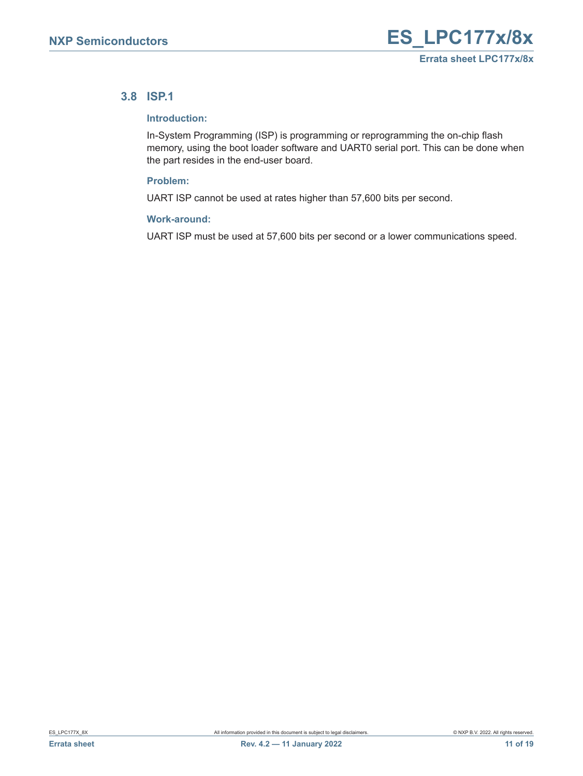### <span id="page-10-0"></span>**3.8 ISP.1**

#### **Introduction:**

In-System Programming (ISP) is programming or reprogramming the on-chip flash memory, using the boot loader software and UART0 serial port. This can be done when the part resides in the end-user board.

#### **Problem:**

UART ISP cannot be used at rates higher than 57,600 bits per second.

#### **Work-around:**

UART ISP must be used at 57,600 bits per second or a lower communications speed.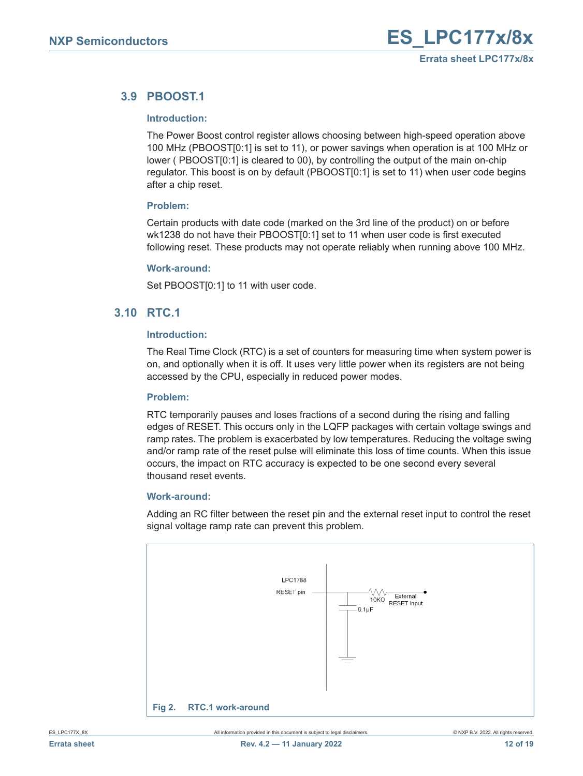### <span id="page-11-0"></span>**3.9 PBOOST.1**

#### **Introduction:**

The Power Boost control register allows choosing between high-speed operation above 100 MHz (PBOOST[0:1] is set to 11), or power savings when operation is at 100 MHz or lower ( PBOOST[0:1] is cleared to 00), by controlling the output of the main on-chip regulator. This boost is on by default (PBOOST[0:1] is set to 11) when user code begins after a chip reset.

#### **Problem:**

Certain products with date code (marked on the 3rd line of the product) on or before wk1238 do not have their PBOOST[0:1] set to 11 when user code is first executed following reset. These products may not operate reliably when running above 100 MHz.

#### **Work-around:**

Set PBOOST[0:1] to 11 with user code.

### <span id="page-11-1"></span>**3.10 RTC.1**

#### **Introduction:**

The Real Time Clock (RTC) is a set of counters for measuring time when system power is on, and optionally when it is off. It uses very little power when its registers are not being accessed by the CPU, especially in reduced power modes.

#### **Problem:**

RTC temporarily pauses and loses fractions of a second during the rising and falling edges of RESET. This occurs only in the LQFP packages with certain voltage swings and ramp rates. The problem is exacerbated by low temperatures. Reducing the voltage swing and/or ramp rate of the reset pulse will eliminate this loss of time counts. When this issue occurs, the impact on RTC accuracy is expected to be one second every several thousand reset events.

#### **Work-around:**

Adding an RC filter between the reset pin and the external reset input to control the reset signal voltage ramp rate can prevent this problem.

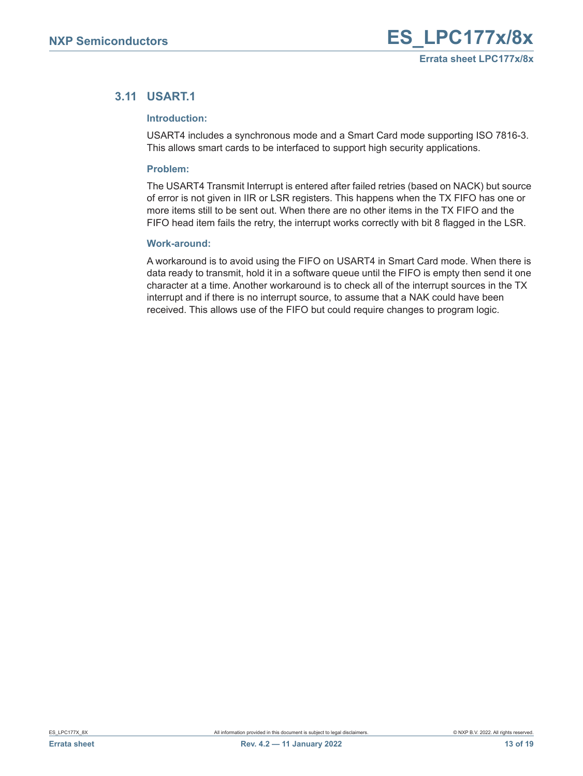### <span id="page-12-0"></span>**3.11 USART.1**

#### **Introduction:**

USART4 includes a synchronous mode and a Smart Card mode supporting ISO 7816-3. This allows smart cards to be interfaced to support high security applications.

#### **Problem:**

The USART4 Transmit Interrupt is entered after failed retries (based on NACK) but source of error is not given in IIR or LSR registers. This happens when the TX FIFO has one or more items still to be sent out. When there are no other items in the TX FIFO and the FIFO head item fails the retry, the interrupt works correctly with bit 8 flagged in the LSR.

#### **Work-around:**

A workaround is to avoid using the FIFO on USART4 in Smart Card mode. When there is data ready to transmit, hold it in a software queue until the FIFO is empty then send it one character at a time. Another workaround is to check all of the interrupt sources in the TX interrupt and if there is no interrupt source, to assume that a NAK could have been received. This allows use of the FIFO but could require changes to program logic.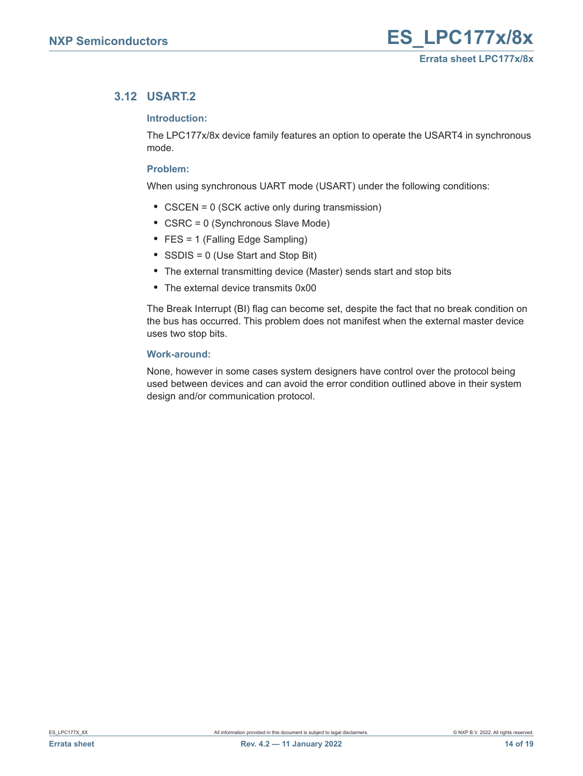### <span id="page-13-0"></span>**3.12 USART.2**

#### **Introduction:**

The LPC177x/8x device family features an option to operate the USART4 in synchronous mode.

#### **Problem:**

When using synchronous UART mode (USART) under the following conditions:

- **•** CSCEN = 0 (SCK active only during transmission)
- **•** CSRC = 0 (Synchronous Slave Mode)
- **•** FES = 1 (Falling Edge Sampling)
- **•** SSDIS = 0 (Use Start and Stop Bit)
- **•** The external transmitting device (Master) sends start and stop bits
- **•** The external device transmits 0x00

The Break Interrupt (BI) flag can become set, despite the fact that no break condition on the bus has occurred. This problem does not manifest when the external master device uses two stop bits.

#### **Work-around:**

None, however in some cases system designers have control over the protocol being used between devices and can avoid the error condition outlined above in their system design and/or communication protocol.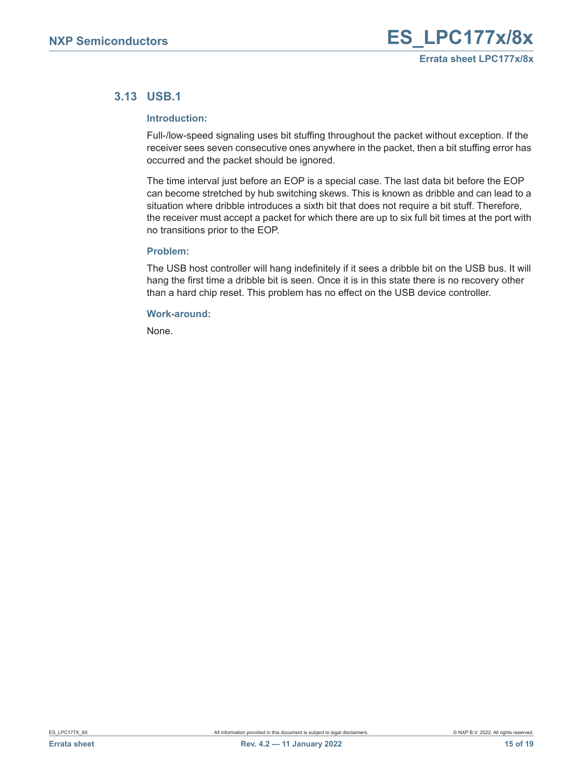### <span id="page-14-0"></span>**3.13 USB.1**

#### **Introduction:**

Full-/low-speed signaling uses bit stuffing throughout the packet without exception. If the receiver sees seven consecutive ones anywhere in the packet, then a bit stuffing error has occurred and the packet should be ignored.

The time interval just before an EOP is a special case. The last data bit before the EOP can become stretched by hub switching skews. This is known as dribble and can lead to a situation where dribble introduces a sixth bit that does not require a bit stuff. Therefore, the receiver must accept a packet for which there are up to six full bit times at the port with no transitions prior to the EOP.

#### **Problem:**

The USB host controller will hang indefinitely if it sees a dribble bit on the USB bus. It will hang the first time a dribble bit is seen. Once it is in this state there is no recovery other than a hard chip reset. This problem has no effect on the USB device controller.

#### **Work-around:**

None.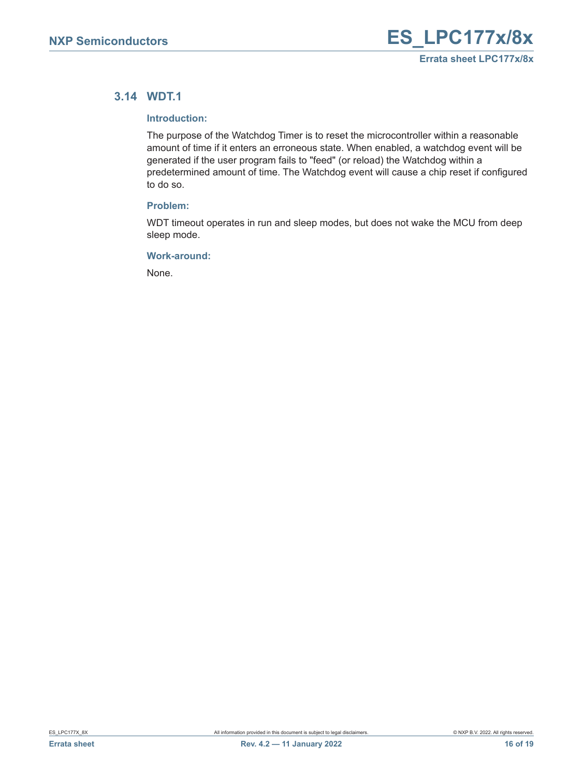### <span id="page-15-0"></span>**3.14 WDT.1**

#### **Introduction:**

The purpose of the Watchdog Timer is to reset the microcontroller within a reasonable amount of time if it enters an erroneous state. When enabled, a watchdog event will be generated if the user program fails to "feed" (or reload) the Watchdog within a predetermined amount of time. The Watchdog event will cause a chip reset if configured to do so.

#### **Problem:**

WDT timeout operates in run and sleep modes, but does not wake the MCU from deep sleep mode.

#### **Work-around:**

None.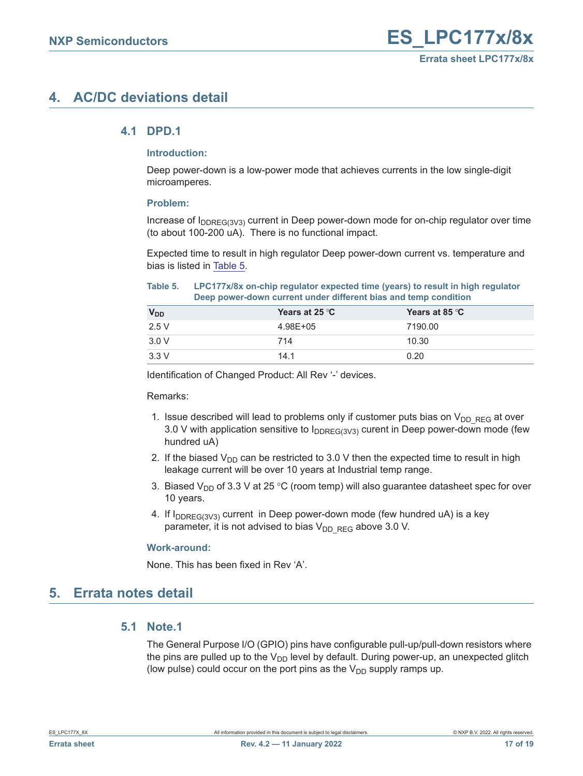### <span id="page-16-3"></span><span id="page-16-1"></span>**4. AC/DC deviations detail**

### **4.1 DPD.1**

#### **Introduction:**

Deep power-down is a low-power mode that achieves currents in the low single-digit microamperes.

#### **Problem:**

Increase of  $I_{\text{DDEFG}(3V3)}$  current in Deep power-down mode for on-chip regulator over time (to about 100-200 uA). There is no functional impact.

Expected time to result in high regulator Deep power-down current vs. temperature and bias is listed in [Table 5](#page-16-2).

#### <span id="page-16-2"></span>**Table 5. LPC177x/8x on-chip regulator expected time (years) to result in high regulator Deep power-down current under different bias and temp condition**

| <b>V<sub>DD</sub></b> | Years at 25 °C | Years at 85 °C |
|-----------------------|----------------|----------------|
| 2.5V                  | 4.98E+05       | 7190.00        |
| 3.0V                  | 714            | 10.30          |
| 3.3V                  | 14.1           | 0.20           |

Identification of Changed Product: All Rev '-' devices.

Remarks:

- 1. Issue described will lead to problems only if customer puts bias on  $V_{DD|REG}$  at over 3.0 V with application sensitive to  $I_{\text{DDEEG}(3V3)}$  curent in Deep power-down mode (few hundred uA)
- 2. If the biased  $V_{DD}$  can be restricted to 3.0 V then the expected time to result in high leakage current will be over 10 years at Industrial temp range.
- 3. Biased V<sub>DD</sub> of 3.3 V at 25 °C (room temp) will also guarantee datasheet spec for over 10 years.
- 4. If  $I_{\text{DDREG}(3V3)}$  current in Deep power-down mode (few hundred uA) is a key parameter, it is not advised to bias  $V_{DD|REG}$  above 3.0 V.

#### **Work-around:**

None. This has been fixed in Rev 'A'.

### <span id="page-16-4"></span><span id="page-16-0"></span>**5. Errata notes detail**

### **5.1 Note.1**

The General Purpose I/O (GPIO) pins have configurable pull-up/pull-down resistors where the pins are pulled up to the  $V_{DD}$  level by default. During power-up, an unexpected glitch (low pulse) could occur on the port pins as the  $V_{DD}$  supply ramps up.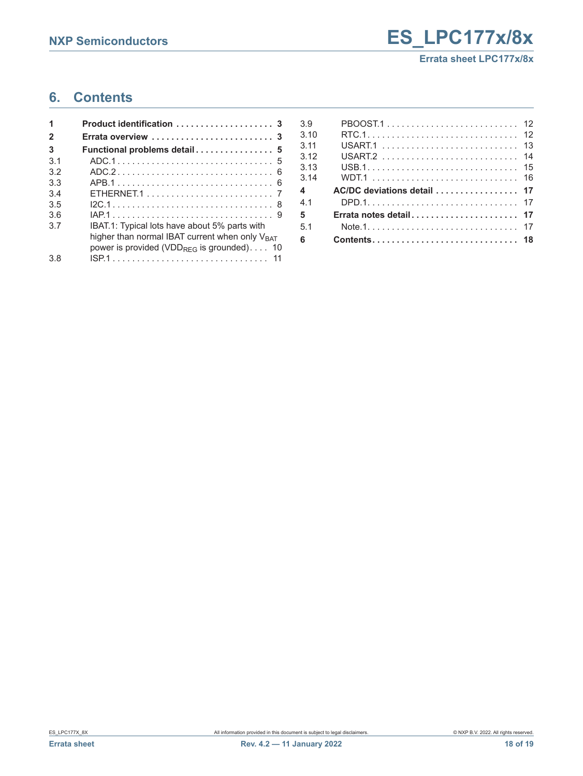### <span id="page-17-0"></span>**6. Contents**

| 3                | Functional problems detail 5                               |
|------------------|------------------------------------------------------------|
| $\overline{3}$ 1 |                                                            |
| 3.2              |                                                            |
| 3.3              |                                                            |
| 3.4              |                                                            |
| 3.5              |                                                            |
| 3.6              |                                                            |
| 37               | IBAT.1: Typical lots have about 5% parts with              |
|                  | higher than normal IBAT current when only V <sub>BAT</sub> |
|                  | power is provided (VDD <sub>REG</sub> is grounded). 10     |
| 3 8              |                                                            |

| 3.9  |                             |  |
|------|-----------------------------|--|
| 3.10 |                             |  |
| 3.11 |                             |  |
| 3.12 |                             |  |
| 3.13 |                             |  |
| 3.14 |                             |  |
| 4    | AC/DC deviations detail  17 |  |
| 41   |                             |  |
| 5    | Errata notes detail 17      |  |
| 5.1  |                             |  |
| 6    |                             |  |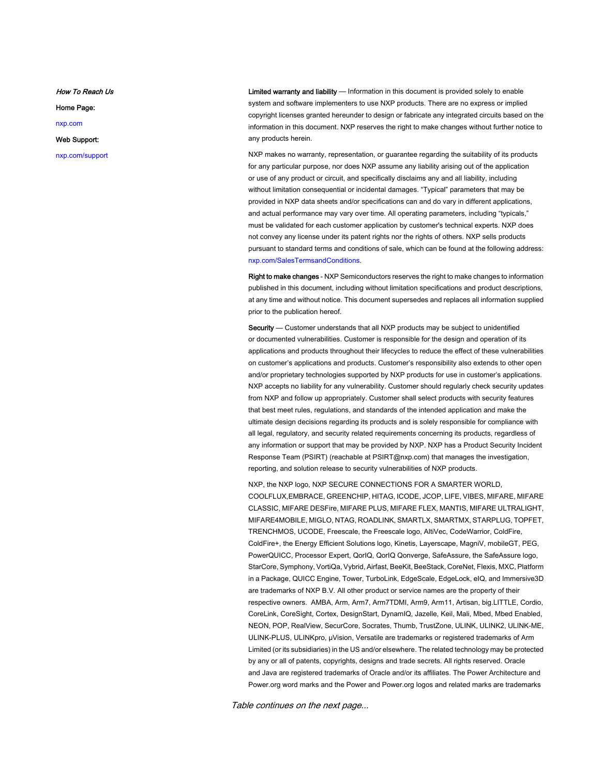How To Reach Us

Home Page:

[nxp.com](http://www.nxp.com)

Web Support:

[nxp.com/support](http://www.nxp.com/support)

Limited warranty and liability - Information in this document is provided solely to enable system and software implementers to use NXP products. There are no express or implied copyright licenses granted hereunder to design or fabricate any integrated circuits based on the information in this document. NXP reserves the right to make changes without further notice to any products herein.

NXP makes no warranty, representation, or guarantee regarding the suitability of its products for any particular purpose, nor does NXP assume any liability arising out of the application or use of any product or circuit, and specifically disclaims any and all liability, including without limitation consequential or incidental damages. "Typical" parameters that may be provided in NXP data sheets and/or specifications can and do vary in different applications, and actual performance may vary over time. All operating parameters, including "typicals," must be validated for each customer application by customer's technical experts. NXP does not convey any license under its patent rights nor the rights of others. NXP sells products pursuant to standard terms and conditions of sale, which can be found at the following address: [nxp.com/SalesTermsandConditions](http://www.nxp.com/SalesTermsandConditions).

Right to make changes - NXP Semiconductors reserves the right to make changes to information published in this document, including without limitation specifications and product descriptions, at any time and without notice. This document supersedes and replaces all information supplied prior to the publication hereof.

Security - Customer understands that all NXP products may be subject to unidentified or documented vulnerabilities. Customer is responsible for the design and operation of its applications and products throughout their lifecycles to reduce the effect of these vulnerabilities on customer's applications and products. Customer's responsibility also extends to other open and/or proprietary technologies supported by NXP products for use in customer's applications. NXP accepts no liability for any vulnerability. Customer should regularly check security updates from NXP and follow up appropriately. Customer shall select products with security features that best meet rules, regulations, and standards of the intended application and make the ultimate design decisions regarding its products and is solely responsible for compliance with all legal, regulatory, and security related requirements concerning its products, regardless of any information or support that may be provided by NXP. NXP has a Product Security Incident Response Team (PSIRT) (reachable at PSIRT@nxp.com) that manages the investigation, reporting, and solution release to security vulnerabilities of NXP products.

NXP, the NXP logo, NXP SECURE CONNECTIONS FOR A SMARTER WORLD, COOLFLUX,EMBRACE, GREENCHIP, HITAG, ICODE, JCOP, LIFE, VIBES, MIFARE, MIFARE CLASSIC, MIFARE DESFire, MIFARE PLUS, MIFARE FLEX, MANTIS, MIFARE ULTRALIGHT, MIFARE4MOBILE, MIGLO, NTAG, ROADLINK, SMARTLX, SMARTMX, STARPLUG, TOPFET, TRENCHMOS, UCODE, Freescale, the Freescale logo, AltiVec, CodeWarrior, ColdFire, ColdFire+, the Energy Efficient Solutions logo, Kinetis, Layerscape, MagniV, mobileGT, PEG, PowerQUICC, Processor Expert, QorIQ, QorIQ Qonverge, SafeAssure, the SafeAssure logo, StarCore, Symphony, VortiQa, Vybrid, Airfast, BeeKit, BeeStack, CoreNet, Flexis, MXC, Platform in a Package, QUICC Engine, Tower, TurboLink, EdgeScale, EdgeLock, eIQ, and Immersive3D are trademarks of NXP B.V. All other product or service names are the property of their respective owners. AMBA, Arm, Arm7, Arm7TDMI, Arm9, Arm11, Artisan, big.LITTLE, Cordio, CoreLink, CoreSight, Cortex, DesignStart, DynamIQ, Jazelle, Keil, Mali, Mbed, Mbed Enabled, NEON, POP, RealView, SecurCore, Socrates, Thumb, TrustZone, ULINK, ULINK2, ULINK-ME, ULINK-PLUS, ULINKpro, µVision, Versatile are trademarks or registered trademarks of Arm Limited (or its subsidiaries) in the US and/or elsewhere. The related technology may be protected by any or all of patents, copyrights, designs and trade secrets. All rights reserved. Oracle and Java are registered trademarks of Oracle and/or its affiliates. The Power Architecture and Power.org word marks and the Power and Power.org logos and related marks are trademarks

Table continues on the next page...